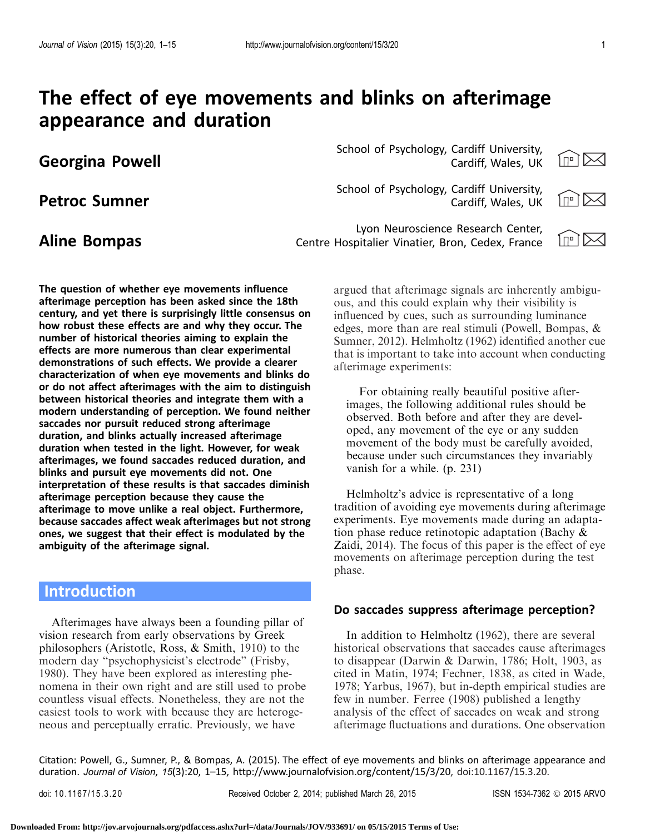# <span id="page-0-0"></span>The effect of eye movements and blinks on afterimage appearance and duration

The question of whether eye movements influence afterimage perception has been asked since the 18th century, and yet there is surprisingly little consensus on how robust these effects are and why they occur. The number of historical theories aiming to explain the effects are more numerous than clear experimental demonstrations of such effects. We provide a clearer characterization of when eye movements and blinks do or do not affect afterimages with the aim to distinguish between historical theories and integrate them with a modern understanding of perception. We found neither saccades nor pursuit reduced strong afterimage duration, and blinks actually increased afterimage duration when tested in the light. However, for weak afterimages, we found saccades reduced duration, and blinks and pursuit eye movements did not. One interpretation of these results is that saccades diminish afterimage perception because they cause the afterimage to move unlike a real object. Furthermore, because saccades affect weak afterimages but not strong ones, we suggest that their effect is modulated by the ambiguity of the afterimage signal.

# **Introduction**

Afterimages have always been a founding pillar of vision research from early observations by Greek philosophers (Aristotle, Ross, & Smith, [1910](#page-12-0)) to the modern day ''psychophysicist's electrode'' (Frisby, [1980\)](#page-13-0). They have been explored as interesting phenomena in their own right and are still used to probe countless visual effects. Nonetheless, they are not the easiest tools to work with because they are heterogeneous and perceptually erratic. Previously, we have

**Georgina Powell Example 20 School of Psychology, Cardiff University,** Cardiff, Wales, UK

School of Psychology, Cardiff University,<br>Cardiff Wales. UK Cardiff University, Cardiff, Wales, UK



Lyon Neuroscience Research Center,<br>
Centre Hospitalier Vinatier, Bron, Cedex, France 1

argued that afterimage signals are inherently ambiguous, and this could explain why their visibility is influenced by cues, such as surrounding luminance edges, more than are real stimuli (Powell, Bompas, & Sumner, [2012\)](#page-13-0). Helmholtz ([1962\)](#page-13-0) identified another cue that is important to take into account when conducting afterimage experiments:

For obtaining really beautiful positive afterimages, the following additional rules should be observed. Both before and after they are developed, any movement of the eye or any sudden movement of the body must be carefully avoided, because under such circumstances they invariably vanish for a while. (p. 231)

Helmholtz's advice is representative of a long tradition of avoiding eye movements during afterimage experiments. Eye movements made during an adaptation phase reduce retinotopic adaptation (Bachy & Zaidi, [2014\)](#page-12-0). The focus of this paper is the effect of eye movements on afterimage perception during the test phase.

### Do saccades suppress afterimage perception?

In addition to Helmholtz ([1962](#page-13-0)), there are several historical observations that saccades cause afterimages to disappear (Darwin & Darwin, [1786](#page-12-0); Holt, 1903, as cited in Matin, [1974;](#page-13-0) Fechner, 1838, as cited in Wade, [1978;](#page-14-0) Yarbus, [1967\)](#page-14-0), but in-depth empirical studies are few in number. Ferree ([1908\)](#page-12-0) published a lengthy analysis of the effect of saccades on weak and strong afterimage fluctuations and durations. One observation

Citation: Powell, G., Sumner, P., & Bompas, A. (2015). The effect of eye movements and blinks on afterimage appearance and duration. Journal of Vision, 15(3):20, 1–15, http://www.journalofvision.org/content/15/3/20, doi:10.1167/15.3.20.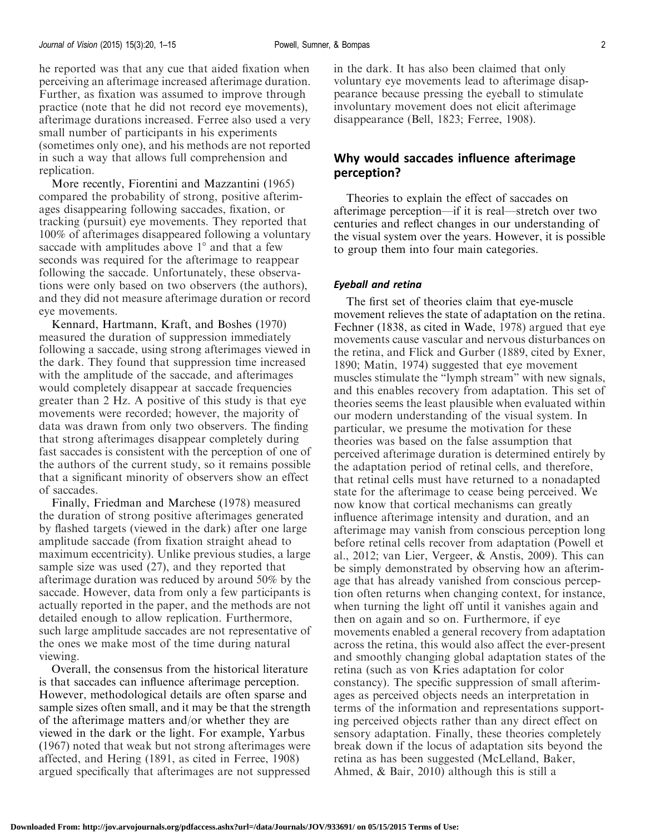he reported was that any cue that aided fixation when perceiving an afterimage increased afterimage duration. Further, as fixation was assumed to improve through practice (note that he did not record eye movements), afterimage durations increased. Ferree also used a very small number of participants in his experiments (sometimes only one), and his methods are not reported in such a way that allows full comprehension and replication.

More recently, Fiorentini and Mazzantini ([1965\)](#page-12-0) compared the probability of strong, positive afterimages disappearing following saccades, fixation, or tracking (pursuit) eye movements. They reported that 100% of afterimages disappeared following a voluntary saccade with amplitudes above  $1^{\circ}$  and that a few seconds was required for the afterimage to reappear following the saccade. Unfortunately, these observations were only based on two observers (the authors), and they did not measure afterimage duration or record eye movements.

Kennard, Hartmann, Kraft, and Boshes [\(1970](#page-13-0)) measured the duration of suppression immediately following a saccade, using strong afterimages viewed in the dark. They found that suppression time increased with the amplitude of the saccade, and afterimages would completely disappear at saccade frequencies greater than 2 Hz. A positive of this study is that eye movements were recorded; however, the majority of data was drawn from only two observers. The finding that strong afterimages disappear completely during fast saccades is consistent with the perception of one of the authors of the current study, so it remains possible that a significant minority of observers show an effect of saccades.

Finally, Friedman and Marchese ([1978\)](#page-12-0) measured the duration of strong positive afterimages generated by flashed targets (viewed in the dark) after one large amplitude saccade (from fixation straight ahead to maximum eccentricity). Unlike previous studies, a large sample size was used (27), and they reported that afterimage duration was reduced by around 50% by the saccade. However, data from only a few participants is actually reported in the paper, and the methods are not detailed enough to allow replication. Furthermore, such large amplitude saccades are not representative of the ones we make most of the time during natural viewing.

Overall, the consensus from the historical literature is that saccades can influence afterimage perception. However, methodological details are often sparse and sample sizes often small, and it may be that the strength of the afterimage matters and/or whether they are viewed in the dark or the light. For example, Yarbus ([1967\)](#page-14-0) noted that weak but not strong afterimages were affected, and Hering (1891, as cited in Ferree, [1908](#page-12-0)) argued specifically that afterimages are not suppressed in the dark. It has also been claimed that only voluntary eye movements lead to afterimage disappearance because pressing the eyeball to stimulate involuntary movement does not elicit afterimage disappearance (Bell, [1823](#page-12-0); Ferree, [1908](#page-12-0)).

# Why would saccades influence afterimage perception?

Theories to explain the effect of saccades on afterimage perception—if it is real—stretch over two centuries and reflect changes in our understanding of the visual system over the years. However, it is possible to group them into four main categories.

#### Eyeball and retina

The first set of theories claim that eye-muscle movement relieves the state of adaptation on the retina. Fechner (1838, as cited in Wade, [1978\)](#page-14-0) argued that eye movements cause vascular and nervous disturbances on the retina, and Flick and Gurber (1889, cited by Exner, [1890;](#page-12-0) Matin, [1974\)](#page-13-0) suggested that eye movement muscles stimulate the ''lymph stream'' with new signals, and this enables recovery from adaptation. This set of theories seems the least plausible when evaluated within our modern understanding of the visual system. In particular, we presume the motivation for these theories was based on the false assumption that perceived afterimage duration is determined entirely by the adaptation period of retinal cells, and therefore, that retinal cells must have returned to a nonadapted state for the afterimage to cease being perceived. We now know that cortical mechanisms can greatly influence afterimage intensity and duration, and an afterimage may vanish from conscious perception long before retinal cells recover from adaptation (Powell et al., [2012;](#page-13-0) van Lier, Vergeer, & Anstis, [2009\)](#page-14-0). This can be simply demonstrated by observing how an afterimage that has already vanished from conscious perception often returns when changing context, for instance, when turning the light off until it vanishes again and then on again and so on. Furthermore, if eye movements enabled a general recovery from adaptation across the retina, this would also affect the ever-present and smoothly changing global adaptation states of the retina (such as von Kries adaptation for color constancy). The specific suppression of small afterimages as perceived objects needs an interpretation in terms of the information and representations supporting perceived objects rather than any direct effect on sensory adaptation. Finally, these theories completely break down if the locus of adaptation sits beyond the retina as has been suggested (McLelland, Baker, Ahmed, & Bair, [2010](#page-13-0)) although this is still a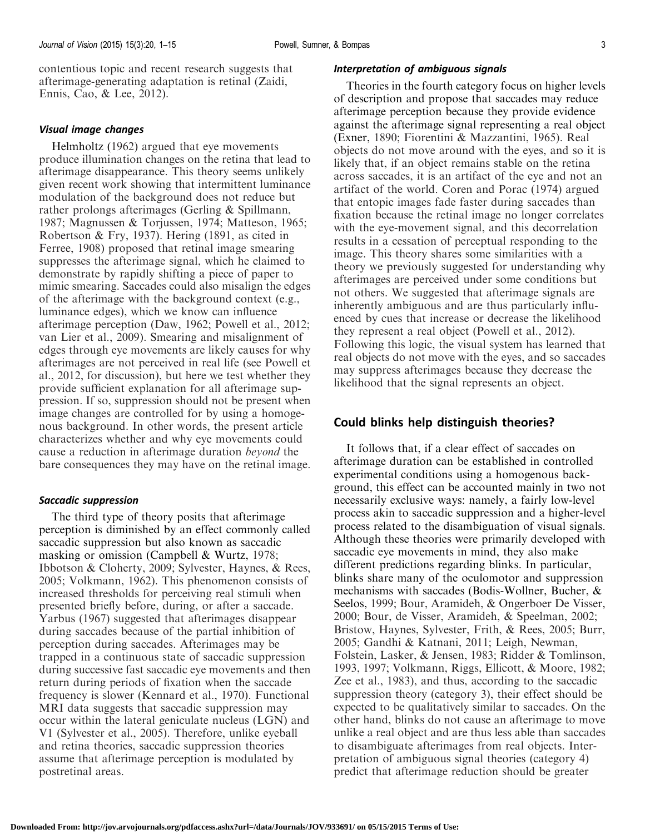contentious topic and recent research suggests that afterimage-generating adaptation is retinal (Zaidi, Ennis, Cao, & Lee, [2012\)](#page-14-0).

#### Visual image changes

Helmholtz ([1962](#page-13-0)) argued that eye movements produce illumination changes on the retina that lead to afterimage disappearance. This theory seems unlikely given recent work showing that intermittent luminance modulation of the background does not reduce but rather prolongs afterimages (Gerling & Spillmann, [1987;](#page-13-0) Magnussen & Torjussen, [1974;](#page-13-0) Matteson, [1965;](#page-13-0) Robertson & Fry, [1937\)](#page-13-0). Hering (1891, as cited in Ferree, [1908\)](#page-12-0) proposed that retinal image smearing suppresses the afterimage signal, which he claimed to demonstrate by rapidly shifting a piece of paper to mimic smearing. Saccades could also misalign the edges of the afterimage with the background context (e.g., luminance edges), which we know can influence afterimage perception (Daw, [1962;](#page-12-0) Powell et al., [2012](#page-13-0); van Lier et al., [2009\)](#page-14-0). Smearing and misalignment of edges through eye movements are likely causes for why afterimages are not perceived in real life (see Powell et al., [2012](#page-13-0), for discussion), but here we test whether they provide sufficient explanation for all afterimage suppression. If so, suppression should not be present when image changes are controlled for by using a homogenous background. In other words, the present article characterizes whether and why eye movements could cause a reduction in afterimage duration beyond the bare consequences they may have on the retinal image.

#### Saccadic suppression

The third type of theory posits that afterimage perception is diminished by an effect commonly called saccadic suppression but also known as saccadic masking or omission (Campbell & Wurtz, [1978;](#page-12-0) Ibbotson & Cloherty, [2009](#page-13-0); Sylvester, Haynes, & Rees, [2005;](#page-14-0) Volkmann, [1962](#page-14-0)). This phenomenon consists of increased thresholds for perceiving real stimuli when presented briefly before, during, or after a saccade. Yarbus ([1967\)](#page-14-0) suggested that afterimages disappear during saccades because of the partial inhibition of perception during saccades. Afterimages may be trapped in a continuous state of saccadic suppression during successive fast saccadic eye movements and then return during periods of fixation when the saccade frequency is slower (Kennard et al., [1970](#page-13-0)). Functional MRI data suggests that saccadic suppression may occur within the lateral geniculate nucleus (LGN) and V1 (Sylvester et al., [2005\)](#page-14-0). Therefore, unlike eyeball and retina theories, saccadic suppression theories assume that afterimage perception is modulated by postretinal areas.

#### Interpretation of ambiguous signals

Theories in the fourth category focus on higher levels of description and propose that saccades may reduce afterimage perception because they provide evidence against the afterimage signal representing a real object (Exner, [1890;](#page-12-0) Fiorentini & Mazzantini, [1965\)](#page-12-0). Real objects do not move around with the eyes, and so it is likely that, if an object remains stable on the retina across saccades, it is an artifact of the eye and not an artifact of the world. Coren and Porac ([1974\)](#page-12-0) argued that entopic images fade faster during saccades than fixation because the retinal image no longer correlates with the eye-movement signal, and this decorrelation results in a cessation of perceptual responding to the image. This theory shares some similarities with a theory we previously suggested for understanding why afterimages are perceived under some conditions but not others. We suggested that afterimage signals are inherently ambiguous and are thus particularly influenced by cues that increase or decrease the likelihood they represent a real object (Powell et al., [2012\)](#page-13-0). Following this logic, the visual system has learned that real objects do not move with the eyes, and so saccades may suppress afterimages because they decrease the likelihood that the signal represents an object.

#### Could blinks help distinguish theories?

It follows that, if a clear effect of saccades on afterimage duration can be established in controlled experimental conditions using a homogenous background, this effect can be accounted mainly in two not necessarily exclusive ways: namely, a fairly low-level process akin to saccadic suppression and a higher-level process related to the disambiguation of visual signals. Although these theories were primarily developed with saccadic eye movements in mind, they also make different predictions regarding blinks. In particular, blinks share many of the oculomotor and suppression mechanisms with saccades (Bodis-Wollner, Bucher, & Seelos, [1999;](#page-12-0) Bour, Aramideh, & Ongerboer De Visser, [2000;](#page-12-0) Bour, de Visser, Aramideh, & Speelman, [2002](#page-12-0); Bristow, Haynes, Sylvester, Frith, & Rees, [2005](#page-12-0); Burr, [2005;](#page-12-0) Gandhi & Katnani, [2011;](#page-13-0) Leigh, Newman, Folstein, Lasker, & Jensen, [1983;](#page-13-0) Ridder & Tomlinson, [1993, 1997;](#page-13-0) Volkmann, Riggs, Ellicott, & Moore, [1982](#page-14-0); Zee et al., [1983](#page-14-0)), and thus, according to the saccadic suppression theory (category 3), their effect should be expected to be qualitatively similar to saccades. On the other hand, blinks do not cause an afterimage to move unlike a real object and are thus less able than saccades to disambiguate afterimages from real objects. Interpretation of ambiguous signal theories (category 4) predict that afterimage reduction should be greater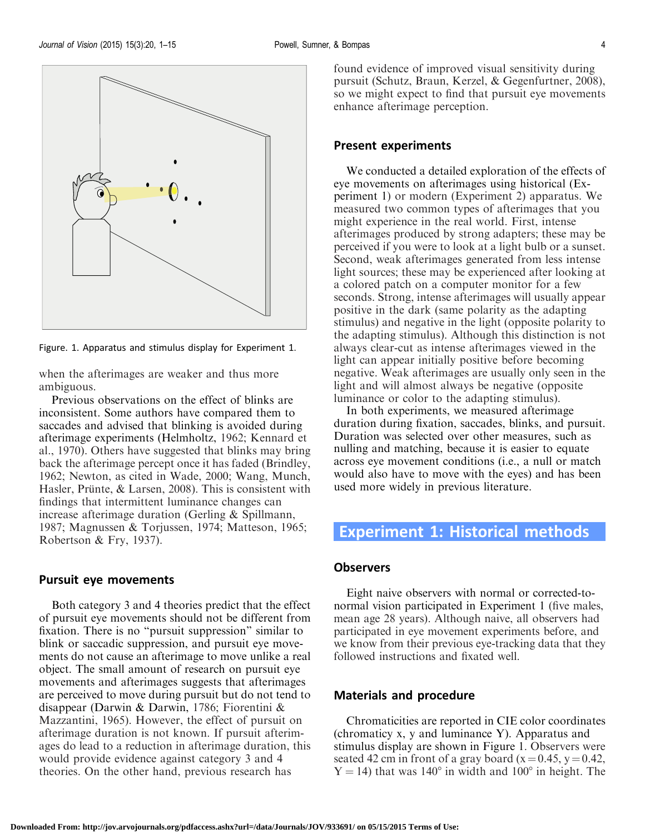<span id="page-3-0"></span>

Figure. 1. Apparatus and stimulus display for Experiment 1.

when the afterimages are weaker and thus more ambiguous.

Previous observations on the effect of blinks are inconsistent. Some authors have compared them to saccades and advised that blinking is avoided during afterimage experiments (Helmholtz, [1962](#page-13-0); Kennard et al., [1970](#page-13-0)). Others have suggested that blinks may bring back the afterimage percept once it has faded (Brindley, [1962;](#page-12-0) Newton, as cited in Wade, [2000](#page-14-0); Wang, Munch, Hasler, Prünte,  $& Larsen, 2008$ . This is consistent with findings that intermittent luminance changes can increase afterimage duration (Gerling & Spillmann, [1987;](#page-13-0) Magnussen & Torjussen, [1974;](#page-13-0) Matteson, [1965;](#page-13-0) Robertson & Fry, [1937\)](#page-13-0).

#### Pursuit eye movements

Both category 3 and 4 theories predict that the effect of pursuit eye movements should not be different from fixation. There is no ''pursuit suppression'' similar to blink or saccadic suppression, and pursuit eye movements do not cause an afterimage to move unlike a real object. The small amount of research on pursuit eye movements and afterimages suggests that afterimages are perceived to move during pursuit but do not tend to disappear (Darwin & Darwin, [1786;](#page-12-0) Fiorentini & Mazzantini, [1965\)](#page-12-0). However, the effect of pursuit on afterimage duration is not known. If pursuit afterimages do lead to a reduction in afterimage duration, this would provide evidence against category 3 and 4 theories. On the other hand, previous research has

found evidence of improved visual sensitivity during pursuit (Schutz, Braun, Kerzel, & Gegenfurtner, [2008](#page-14-0)), so we might expect to find that pursuit eye movements enhance afterimage perception.

#### Present experiments

We conducted a detailed exploration of the effects of eye movements on afterimages using historical (Experiment 1) or modern [\(Experiment 2\)](#page-6-0) apparatus. We measured two common types of afterimages that you might experience in the real world. First, intense afterimages produced by strong adapters; these may be perceived if you were to look at a light bulb or a sunset. Second, weak afterimages generated from less intense light sources; these may be experienced after looking at a colored patch on a computer monitor for a few seconds. Strong, intense afterimages will usually appear positive in the dark (same polarity as the adapting stimulus) and negative in the light (opposite polarity to the adapting stimulus). Although this distinction is not always clear-cut as intense afterimages viewed in the light can appear initially positive before becoming negative. Weak afterimages are usually only seen in the light and will almost always be negative (opposite luminance or color to the adapting stimulus).

In both experiments, we measured afterimage duration during fixation, saccades, blinks, and pursuit. Duration was selected over other measures, such as nulling and matching, because it is easier to equate across eye movement conditions (i.e., a null or match would also have to move with the eyes) and has been used more widely in previous literature.

# Experiment 1: Historical methods

#### **Observers**

Eight naive observers with normal or corrected-tonormal vision participated in Experiment 1 (five males, mean age 28 years). Although naive, all observers had participated in eye movement experiments before, and we know from their previous eye-tracking data that they followed instructions and fixated well.

### Materials and procedure

Chromaticities are reported in CIE color coordinates (chromaticy x, y and luminance Y). Apparatus and stimulus display are shown in Figure 1. Observers were seated 42 cm in front of a gray board ( $x = 0.45$ ,  $y = 0.42$ ,  $Y = 14$ ) that was 140° in width and 100° in height. The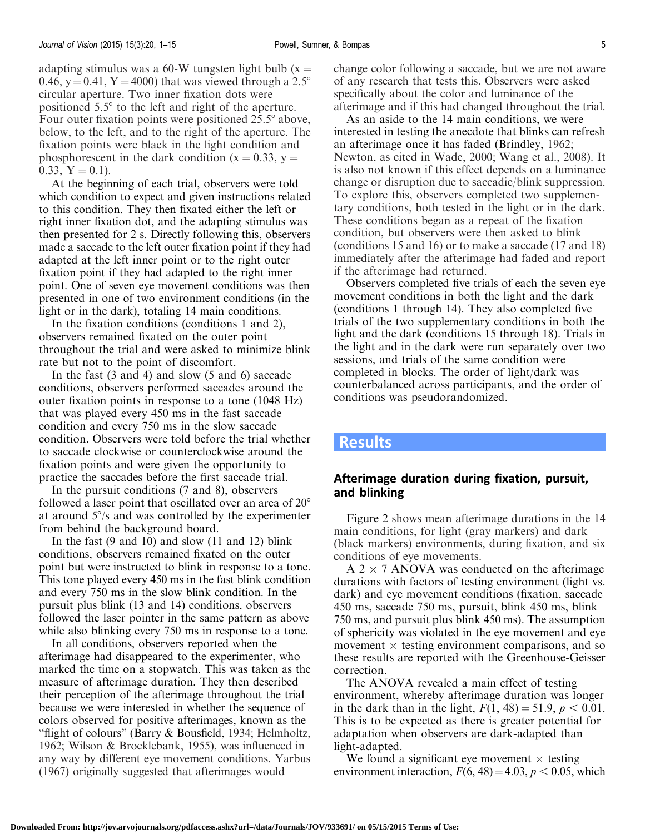adapting stimulus was a 60-W tungsten light bulb ( $x =$ 0.46, y = 0.41, Y = 4000) that was viewed through a 2.5 $^{\circ}$ circular aperture. Two inner fixation dots were positioned  $5.5^{\circ}$  to the left and right of the aperture. Four outer fixation points were positioned  $25.5^{\circ}$  above, below, to the left, and to the right of the aperture. The fixation points were black in the light condition and phosphorescent in the dark condition ( $x = 0.33$ ,  $y =$ 0.33,  $Y = 0.1$ ).

At the beginning of each trial, observers were told which condition to expect and given instructions related to this condition. They then fixated either the left or right inner fixation dot, and the adapting stimulus was then presented for 2 s. Directly following this, observers made a saccade to the left outer fixation point if they had adapted at the left inner point or to the right outer fixation point if they had adapted to the right inner point. One of seven eye movement conditions was then presented in one of two environment conditions (in the light or in the dark), totaling 14 main conditions.

In the fixation conditions (conditions 1 and 2), observers remained fixated on the outer point throughout the trial and were asked to minimize blink rate but not to the point of discomfort.

In the fast (3 and 4) and slow (5 and 6) saccade conditions, observers performed saccades around the outer fixation points in response to a tone (1048 Hz) that was played every 450 ms in the fast saccade condition and every 750 ms in the slow saccade condition. Observers were told before the trial whether to saccade clockwise or counterclockwise around the fixation points and were given the opportunity to practice the saccades before the first saccade trial.

In the pursuit conditions (7 and 8), observers followed a laser point that oscillated over an area of  $20^{\circ}$ at around  $5^{\circ}/s$  and was controlled by the experimenter from behind the background board.

In the fast (9 and 10) and slow (11 and 12) blink conditions, observers remained fixated on the outer point but were instructed to blink in response to a tone. This tone played every 450 ms in the fast blink condition and every 750 ms in the slow blink condition. In the pursuit plus blink (13 and 14) conditions, observers followed the laser pointer in the same pattern as above while also blinking every 750 ms in response to a tone.

In all conditions, observers reported when the afterimage had disappeared to the experimenter, who marked the time on a stopwatch. This was taken as the measure of afterimage duration. They then described their perception of the afterimage throughout the trial because we were interested in whether the sequence of colors observed for positive afterimages, known as the ''flight of colours'' (Barry & Bousfield, [1934;](#page-12-0) Helmholtz, [1962](#page-13-0); Wilson & Brocklebank, [1955\)](#page-14-0), was influenced in any way by different eye movement conditions. Yarbus ([1967](#page-14-0)) originally suggested that afterimages would

change color following a saccade, but we are not aware of any research that tests this. Observers were asked specifically about the color and luminance of the afterimage and if this had changed throughout the trial.

As an aside to the 14 main conditions, we were interested in testing the anecdote that blinks can refresh an afterimage once it has faded (Brindley, [1962;](#page-12-0) Newton, as cited in Wade, [2000;](#page-14-0) Wang et al., [2008](#page-14-0)). It is also not known if this effect depends on a luminance change or disruption due to saccadic/blink suppression. To explore this, observers completed two supplementary conditions, both tested in the light or in the dark. These conditions began as a repeat of the fixation condition, but observers were then asked to blink (conditions 15 and 16) or to make a saccade (17 and 18) immediately after the afterimage had faded and report if the afterimage had returned.

Observers completed five trials of each the seven eye movement conditions in both the light and the dark (conditions 1 through 14). They also completed five trials of the two supplementary conditions in both the light and the dark (conditions 15 through 18). Trials in the light and in the dark were run separately over two sessions, and trials of the same condition were completed in blocks. The order of light/dark was counterbalanced across participants, and the order of conditions was pseudorandomized.

# Results

# Afterimage duration during fixation, pursuit, and blinking

[Figure 2](#page-5-0) shows mean afterimage durations in the 14 main conditions, for light (gray markers) and dark (black markers) environments, during fixation, and six conditions of eye movements.

 $A$  2  $\times$  7 ANOVA was conducted on the afterimage durations with factors of testing environment (light vs. dark) and eye movement conditions (fixation, saccade 450 ms, saccade 750 ms, pursuit, blink 450 ms, blink 750 ms, and pursuit plus blink 450 ms). The assumption of sphericity was violated in the eye movement and eye movement  $\times$  testing environment comparisons, and so these results are reported with the Greenhouse-Geisser correction.

The ANOVA revealed a main effect of testing environment, whereby afterimage duration was longer in the dark than in the light,  $F(1, 48) = 51.9, p < 0.01$ . This is to be expected as there is greater potential for adaptation when observers are dark-adapted than light-adapted.

We found a significant eye movement  $\times$  testing environment interaction,  $F(6, 48) = 4.03$ ,  $p < 0.05$ , which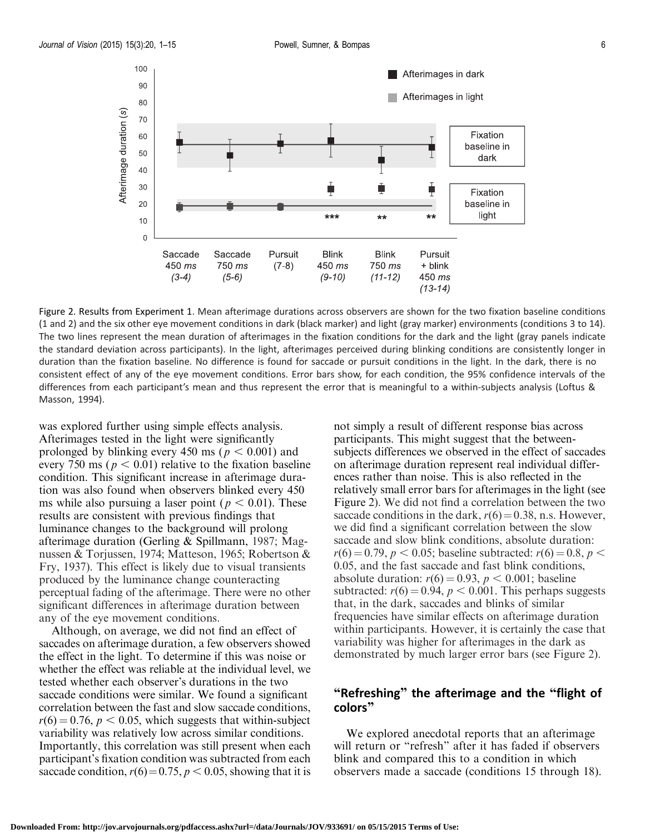<span id="page-5-0"></span>

Figure 2. Results from [Experiment 1](#page-3-0). Mean afterimage durations across observers are shown for the two fixation baseline conditions (1 and 2) and the six other eye movement conditions in dark (black marker) and light (gray marker) environments (conditions 3 to 14). The two lines represent the mean duration of afterimages in the fixation conditions for the dark and the light (gray panels indicate the standard deviation across participants). In the light, afterimages perceived during blinking conditions are consistently longer in duration than the fixation baseline. No difference is found for saccade or pursuit conditions in the light. In the dark, there is no consistent effect of any of the eye movement conditions. Error bars show, for each condition, the 95% confidence intervals of the differences from each participant's mean and thus represent the error that is meaningful to a within-subjects analysis (Loftus & Masson, [1994\)](#page-13-0).

was explored further using simple effects analysis. Afterimages tested in the light were significantly prolonged by blinking every 450 ms ( $p < 0.001$ ) and every 750 ms ( $p < 0.01$ ) relative to the fixation baseline condition. This significant increase in afterimage duration was also found when observers blinked every 450 ms while also pursuing a laser point ( $p < 0.01$ ). These results are consistent with previous findings that luminance changes to the background will prolong afterimage duration (Gerling & Spillmann, [1987;](#page-13-0) Magnussen & Torjussen, [1974](#page-13-0); Matteson, [1965;](#page-13-0) Robertson & Fry, [1937\)](#page-13-0). This effect is likely due to visual transients produced by the luminance change counteracting perceptual fading of the afterimage. There were no other significant differences in afterimage duration between any of the eye movement conditions.

Although, on average, we did not find an effect of saccades on afterimage duration, a few observers showed the effect in the light. To determine if this was noise or whether the effect was reliable at the individual level, we tested whether each observer's durations in the two saccade conditions were similar. We found a significant correlation between the fast and slow saccade conditions,  $r(6) = 0.76$ ,  $p < 0.05$ , which suggests that within-subject variability was relatively low across similar conditions. Importantly, this correlation was still present when each participant's fixation condition was subtracted from each saccade condition,  $r(6)=0.75$ ,  $p < 0.05$ , showing that it is

not simply a result of different response bias across participants. This might suggest that the betweensubjects differences we observed in the effect of saccades on afterimage duration represent real individual differences rather than noise. This is also reflected in the relatively small error bars for afterimages in the light (see Figure 2). We did not find a correlation between the two saccade conditions in the dark,  $r(6) = 0.38$ , n.s. However, we did find a significant correlation between the slow saccade and slow blink conditions, absolute duration:  $r(6) = 0.79$ ,  $p < 0.05$ ; baseline subtracted:  $r(6) = 0.8$ ,  $p <$ 0.05, and the fast saccade and fast blink conditions, absolute duration:  $r(6) = 0.93$ ,  $p < 0.001$ ; baseline subtracted:  $r(6) = 0.94$ ,  $p < 0.001$ . This perhaps suggests that, in the dark, saccades and blinks of similar frequencies have similar effects on afterimage duration within participants. However, it is certainly the case that variability was higher for afterimages in the dark as demonstrated by much larger error bars (see Figure 2).

# ''Refreshing'' the afterimage and the ''flight of colors''

We explored anecdotal reports that an afterimage will return or "refresh" after it has faded if observers blink and compared this to a condition in which observers made a saccade (conditions 15 through 18).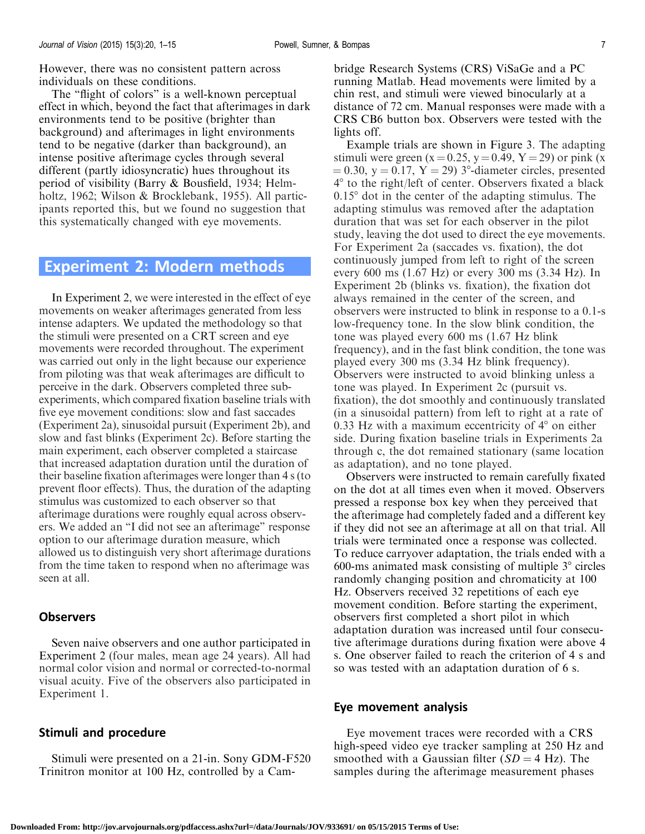<span id="page-6-0"></span>However, there was no consistent pattern across individuals on these conditions.

The "flight of colors" is a well-known perceptual effect in which, beyond the fact that afterimages in dark environments tend to be positive (brighter than background) and afterimages in light environments tend to be negative (darker than background), an intense positive afterimage cycles through several different (partly idiosyncratic) hues throughout its period of visibility (Barry & Bousfield, [1934](#page-12-0); Helmholtz, [1962](#page-13-0); Wilson & Brocklebank, [1955\)](#page-14-0). All participants reported this, but we found no suggestion that this systematically changed with eye movements.

# Experiment 2: Modern methods

In Experiment 2, we were interested in the effect of eye movements on weaker afterimages generated from less intense adapters. We updated the methodology so that the stimuli were presented on a CRT screen and eye movements were recorded throughout. The experiment was carried out only in the light because our experience from piloting was that weak afterimages are difficult to perceive in the dark. Observers completed three subexperiments, which compared fixation baseline trials with five eye movement conditions: slow and fast saccades (Experiment 2a), sinusoidal pursuit (Experiment 2b), and slow and fast blinks (Experiment 2c). Before starting the main experiment, each observer completed a staircase that increased adaptation duration until the duration of their baseline fixation afterimages were longer than 4 s (to prevent floor effects). Thus, the duration of the adapting stimulus was customized to each observer so that afterimage durations were roughly equal across observers. We added an ''I did not see an afterimage'' response option to our afterimage duration measure, which allowed us to distinguish very short afterimage durations from the time taken to respond when no afterimage was seen at all.

#### **Observers**

Seven naive observers and one author participated in Experiment 2 (four males, mean age 24 years). All had normal color vision and normal or corrected-to-normal visual acuity. Five of the observers also participated in [Experiment 1](#page-3-0).

#### Stimuli and procedure

Stimuli were presented on a 21-in. Sony GDM-F520 Trinitron monitor at 100 Hz, controlled by a Cambridge Research Systems (CRS) ViSaGe and a PC running Matlab. Head movements were limited by a chin rest, and stimuli were viewed binocularly at a distance of 72 cm. Manual responses were made with a CRS CB6 button box. Observers were tested with the lights off.

Example trials are shown in [Figure 3](#page-7-0). The adapting stimuli were green  $(x=0.25, y=0.49, Y=29)$  or pink (x  $= 0.30$ , y  $= 0.17$ , Y  $= 29$ ) 3°-diameter circles, presented 48 to the right/left of center. Observers fixated a black  $0.15^{\circ}$  dot in the center of the adapting stimulus. The adapting stimulus was removed after the adaptation duration that was set for each observer in the pilot study, leaving the dot used to direct the eye movements. For Experiment 2a (saccades vs. fixation), the dot continuously jumped from left to right of the screen every 600 ms (1.67 Hz) or every 300 ms (3.34 Hz). In Experiment 2b (blinks vs. fixation), the fixation dot always remained in the center of the screen, and observers were instructed to blink in response to a 0.1-s low-frequency tone. In the slow blink condition, the tone was played every 600 ms (1.67 Hz blink frequency), and in the fast blink condition, the tone was played every 300 ms (3.34 Hz blink frequency). Observers were instructed to avoid blinking unless a tone was played. In Experiment 2c (pursuit vs. fixation), the dot smoothly and continuously translated (in a sinusoidal pattern) from left to right at a rate of 0.33 Hz with a maximum eccentricity of  $4^{\circ}$  on either side. During fixation baseline trials in Experiments 2a through c, the dot remained stationary (same location as adaptation), and no tone played.

Observers were instructed to remain carefully fixated on the dot at all times even when it moved. Observers pressed a response box key when they perceived that the afterimage had completely faded and a different key if they did not see an afterimage at all on that trial. All trials were terminated once a response was collected. To reduce carryover adaptation, the trials ended with a 600-ms animated mask consisting of multiple  $3^\circ$  circles randomly changing position and chromaticity at 100 Hz. Observers received 32 repetitions of each eye movement condition. Before starting the experiment, observers first completed a short pilot in which adaptation duration was increased until four consecutive afterimage durations during fixation were above 4 s. One observer failed to reach the criterion of 4 s and so was tested with an adaptation duration of 6 s.

#### Eye movement analysis

Eye movement traces were recorded with a CRS high-speed video eye tracker sampling at 250 Hz and smoothed with a Gaussian filter  $(SD = 4 Hz)$ . The samples during the afterimage measurement phases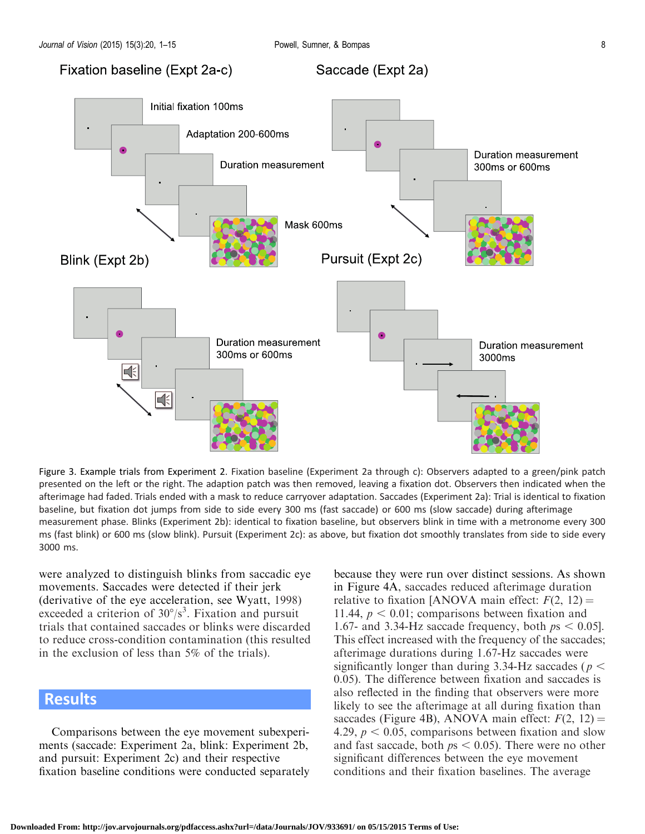# <span id="page-7-0"></span>Fixation baseline (Expt 2a-c)

Saccade (Expt 2a)



Figure 3. Example trials from [Experiment 2.](#page-6-0) Fixation baseline (Experiment 2a through c): Observers adapted to a green/pink patch presented on the left or the right. The adaption patch was then removed, leaving a fixation dot. Observers then indicated when the afterimage had faded. Trials ended with a mask to reduce carryover adaptation. Saccades (Experiment 2a): Trial is identical to fixation baseline, but fixation dot jumps from side to side every 300 ms (fast saccade) or 600 ms (slow saccade) during afterimage measurement phase. Blinks (Experiment 2b): identical to fixation baseline, but observers blink in time with a metronome every 300 ms (fast blink) or 600 ms (slow blink). Pursuit (Experiment 2c): as above, but fixation dot smoothly translates from side to side every 3000 ms.

were analyzed to distinguish blinks from saccadic eye movements. Saccades were detected if their jerk (derivative of the eye acceleration, see Wyatt, [1998\)](#page-14-0) exceeded a criterion of  $30^{\circ}/s^3$ . Fixation and pursuit trials that contained saccades or blinks were discarded to reduce cross-condition contamination (this resulted in the exclusion of less than 5% of the trials).

# Results

Comparisons between the eye movement subexperiments (saccade: Experiment 2a, blink: Experiment 2b, and pursuit: Experiment 2c) and their respective fixation baseline conditions were conducted separately because they were run over distinct sessions. As shown in [Figure 4A,](#page-8-0) saccades reduced afterimage duration relative to fixation [ANOVA main effect:  $F(2, 12) =$ 11.44,  $p < 0.01$ ; comparisons between fixation and 1.67- and 3.34-Hz saccade frequency, both  $ps < 0.05$ ]. This effect increased with the frequency of the saccades; afterimage durations during 1.67-Hz saccades were significantly longer than during 3.34-Hz saccades ( $p <$ 0.05). The difference between fixation and saccades is also reflected in the finding that observers were more likely to see the afterimage at all during fixation than saccades [\(Figure 4B](#page-8-0)), ANOVA main effect:  $F(2, 12) =$ 4.29,  $p < 0.05$ , comparisons between fixation and slow and fast saccade, both  $ps < 0.05$ ). There were no other significant differences between the eye movement conditions and their fixation baselines. The average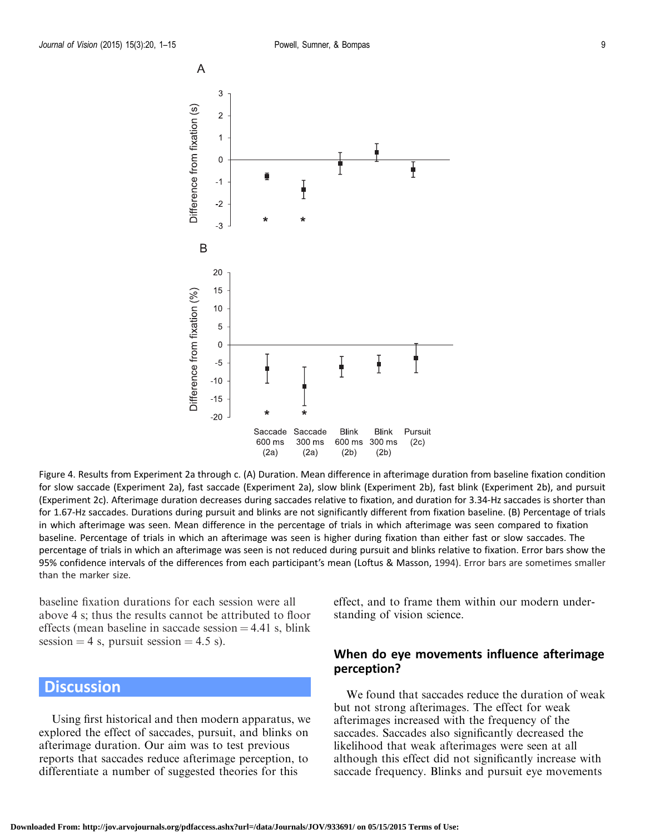<span id="page-8-0"></span>

Figure 4. Results from Experiment 2a through c. (A) Duration. Mean difference in afterimage duration from baseline fixation condition for slow saccade (Experiment 2a), fast saccade (Experiment 2a), slow blink (Experiment 2b), fast blink (Experiment 2b), and pursuit (Experiment 2c). Afterimage duration decreases during saccades relative to fixation, and duration for 3.34-Hz saccades is shorter than for 1.67-Hz saccades. Durations during pursuit and blinks are not significantly different from fixation baseline. (B) Percentage of trials in which afterimage was seen. Mean difference in the percentage of trials in which afterimage was seen compared to fixation baseline. Percentage of trials in which an afterimage was seen is higher during fixation than either fast or slow saccades. The percentage of trials in which an afterimage was seen is not reduced during pursuit and blinks relative to fixation. Error bars show the 95% confidence intervals of the differences from each participant's mean (Loftus & Masson, [1994\)](#page-13-0). Error bars are sometimes smaller than the marker size.

baseline fixation durations for each session were all above 4 s; thus the results cannot be attributed to floor effects (mean baseline in saccade session  $=$  4.41 s, blink session  $= 4$  s, pursuit session  $= 4.5$  s).

# **Discussion**

Using first historical and then modern apparatus, we explored the effect of saccades, pursuit, and blinks on afterimage duration. Our aim was to test previous reports that saccades reduce afterimage perception, to differentiate a number of suggested theories for this

effect, and to frame them within our modern understanding of vision science.

# When do eye movements influence afterimage perception?

We found that saccades reduce the duration of weak but not strong afterimages. The effect for weak afterimages increased with the frequency of the saccades. Saccades also significantly decreased the likelihood that weak afterimages were seen at all although this effect did not significantly increase with saccade frequency. Blinks and pursuit eye movements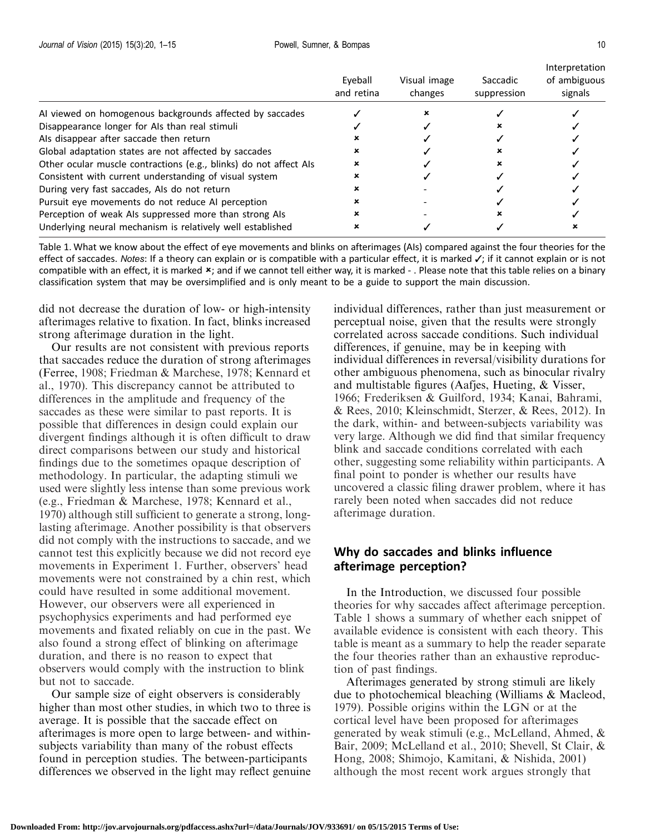|                                                                   | Eveball<br>and retina | Visual image<br>changes | <b>Saccadic</b><br>suppression | Interpretation<br>of ambiguous<br>signals |
|-------------------------------------------------------------------|-----------------------|-------------------------|--------------------------------|-------------------------------------------|
| Al viewed on homogenous backgrounds affected by saccades          |                       |                         |                                |                                           |
| Disappearance longer for Als than real stimuli                    |                       |                         |                                |                                           |
| Als disappear after saccade then return                           |                       |                         |                                |                                           |
| Global adaptation states are not affected by saccades             |                       |                         |                                |                                           |
| Other ocular muscle contractions (e.g., blinks) do not affect Als |                       |                         |                                |                                           |
| Consistent with current understanding of visual system            |                       |                         |                                |                                           |
| During very fast saccades, Als do not return                      |                       |                         |                                |                                           |
| Pursuit eye movements do not reduce AI perception                 |                       |                         |                                |                                           |
| Perception of weak Als suppressed more than strong Als            |                       |                         |                                |                                           |
| Underlying neural mechanism is relatively well established        |                       |                         |                                |                                           |

Table 1. What we know about the effect of eye movements and blinks on afterimages (AIs) compared against the four theories for the effect of saccades. Notes: If a theory can explain or is compatible with a particular effect, it is marked  $\checkmark$ ; if it cannot explain or is not compatible with an effect, it is marked  $x$ ; and if we cannot tell either way, it is marked - . Please note that this table relies on a binary classification system that may be oversimplified and is only meant to be a guide to support the main discussion.

did not decrease the duration of low- or high-intensity afterimages relative to fixation. In fact, blinks increased strong afterimage duration in the light.

Our results are not consistent with previous reports that saccades reduce the duration of strong afterimages (Ferree, [1908](#page-12-0); Friedman & Marchese, [1978;](#page-12-0) Kennard et al., [1970\)](#page-13-0). This discrepancy cannot be attributed to differences in the amplitude and frequency of the saccades as these were similar to past reports. It is possible that differences in design could explain our divergent findings although it is often difficult to draw direct comparisons between our study and historical findings due to the sometimes opaque description of methodology. In particular, the adapting stimuli we used were slightly less intense than some previous work (e.g., Friedman & Marchese, [1978;](#page-12-0) Kennard et al., [1970\)](#page-13-0) although still sufficient to generate a strong, longlasting afterimage. Another possibility is that observers did not comply with the instructions to saccade, and we cannot test this explicitly because we did not record eye movements in [Experiment 1.](#page-3-0) Further, observers' head movements were not constrained by a chin rest, which could have resulted in some additional movement. However, our observers were all experienced in psychophysics experiments and had performed eye movements and fixated reliably on cue in the past. We also found a strong effect of blinking on afterimage duration, and there is no reason to expect that observers would comply with the instruction to blink but not to saccade.

Our sample size of eight observers is considerably higher than most other studies, in which two to three is average. It is possible that the saccade effect on afterimages is more open to large between- and withinsubjects variability than many of the robust effects found in perception studies. The between-participants differences we observed in the light may reflect genuine individual differences, rather than just measurement or perceptual noise, given that the results were strongly correlated across saccade conditions. Such individual differences, if genuine, may be in keeping with individual differences in reversal/visibility durations for other ambiguous phenomena, such as binocular rivalry and multistable figures (Aafjes, Hueting, & Visser, [1966;](#page-12-0) Frederiksen & Guilford, [1934](#page-12-0); Kanai, Bahrami, & Rees, [2010](#page-13-0); Kleinschmidt, Sterzer, & Rees, [2012\)](#page-13-0). In the dark, within- and between-subjects variability was very large. Although we did find that similar frequency blink and saccade conditions correlated with each other, suggesting some reliability within participants. A final point to ponder is whether our results have uncovered a classic filing drawer problem, where it has rarely been noted when saccades did not reduce afterimage duration.

# Why do saccades and blinks influence afterimage perception?

In the [Introduction,](#page-0-0) we discussed four possible theories for why saccades affect afterimage perception. Table 1 shows a summary of whether each snippet of available evidence is consistent with each theory. This table is meant as a summary to help the reader separate the four theories rather than an exhaustive reproduction of past findings.

Afterimages generated by strong stimuli are likely due to photochemical bleaching (Williams & Macleod, [1979\)](#page-14-0). Possible origins within the LGN or at the cortical level have been proposed for afterimages generated by weak stimuli (e.g., McLelland, Ahmed, & Bair, [2009](#page-13-0); McLelland et al., [2010;](#page-13-0) Shevell, St Clair, & Hong, [2008](#page-14-0); Shimojo, Kamitani, & Nishida, [2001\)](#page-14-0) although the most recent work argues strongly that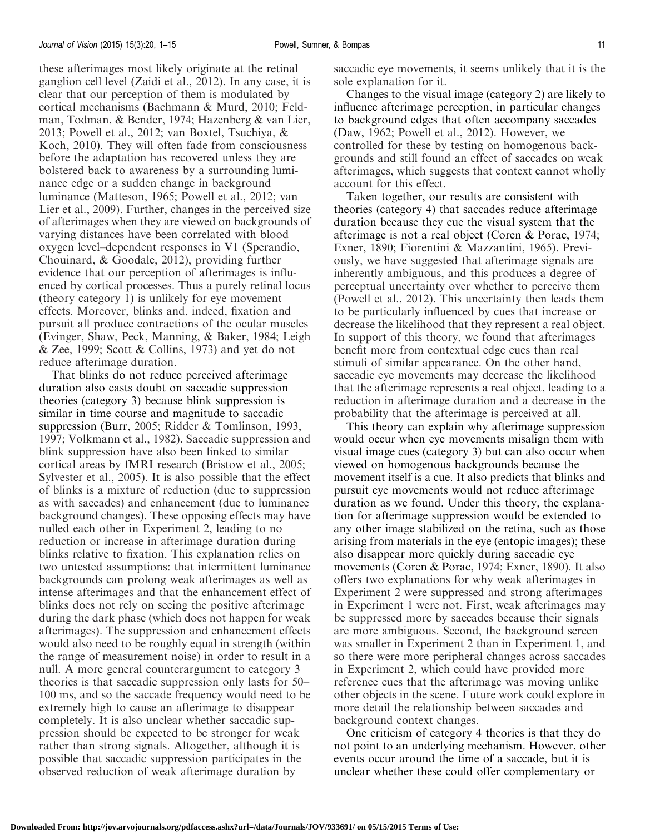these afterimages most likely originate at the retinal ganglion cell level (Zaidi et al., [2012\)](#page-14-0). In any case, it is clear that our perception of them is modulated by cortical mechanisms (Bachmann & Murd, [2010;](#page-12-0) Feldman, Todman, & Bender, [1974;](#page-12-0) Hazenberg & van Lier, [2013;](#page-13-0) Powell et al., [2012](#page-13-0); van Boxtel, Tsuchiya, & Koch, [2010](#page-14-0)). They will often fade from consciousness before the adaptation has recovered unless they are bolstered back to awareness by a surrounding luminance edge or a sudden change in background luminance (Matteson, [1965;](#page-13-0) Powell et al., [2012](#page-13-0); van Lier et al., [2009](#page-14-0)). Further, changes in the perceived size of afterimages when they are viewed on backgrounds of varying distances have been correlated with blood oxygen level–dependent responses in V1 (Sperandio, Chouinard, & Goodale, [2012](#page-14-0)), providing further evidence that our perception of afterimages is influenced by cortical processes. Thus a purely retinal locus (theory category 1) is unlikely for eye movement effects. Moreover, blinks and, indeed, fixation and pursuit all produce contractions of the ocular muscles (Evinger, Shaw, Peck, Manning, & Baker, [1984;](#page-12-0) Leigh  $& Zee, 1999$  $& Zee, 1999$ ; Scott  $& Collins, 1973$  and yet do not reduce afterimage duration.

That blinks do not reduce perceived afterimage duration also casts doubt on saccadic suppression theories (category 3) because blink suppression is similar in time course and magnitude to saccadic suppression (Burr, [2005](#page-12-0); Ridder & Tomlinson, [1993](#page-13-0), [1997;](#page-13-0) Volkmann et al., [1982](#page-14-0)). Saccadic suppression and blink suppression have also been linked to similar cortical areas by fMRI research (Bristow et al., [2005](#page-12-0); Sylvester et al., [2005\)](#page-14-0). It is also possible that the effect of blinks is a mixture of reduction (due to suppression as with saccades) and enhancement (due to luminance background changes). These opposing effects may have nulled each other in [Experiment 2,](#page-6-0) leading to no reduction or increase in afterimage duration during blinks relative to fixation. This explanation relies on two untested assumptions: that intermittent luminance backgrounds can prolong weak afterimages as well as intense afterimages and that the enhancement effect of blinks does not rely on seeing the positive afterimage during the dark phase (which does not happen for weak afterimages). The suppression and enhancement effects would also need to be roughly equal in strength (within the range of measurement noise) in order to result in a null. A more general counterargument to category 3 theories is that saccadic suppression only lasts for 50– 100 ms, and so the saccade frequency would need to be extremely high to cause an afterimage to disappear completely. It is also unclear whether saccadic suppression should be expected to be stronger for weak rather than strong signals. Altogether, although it is possible that saccadic suppression participates in the observed reduction of weak afterimage duration by

saccadic eye movements, it seems unlikely that it is the sole explanation for it.

Changes to the visual image (category 2) are likely to influence afterimage perception, in particular changes to background edges that often accompany saccades (Daw, [1962](#page-12-0); Powell et al., [2012\)](#page-13-0). However, we controlled for these by testing on homogenous backgrounds and still found an effect of saccades on weak afterimages, which suggests that context cannot wholly account for this effect.

Taken together, our results are consistent with theories (category 4) that saccades reduce afterimage duration because they cue the visual system that the afterimage is not a real object (Coren & Porac, [1974](#page-12-0); Exner, [1890](#page-12-0); Fiorentini & Mazzantini, [1965](#page-12-0)). Previously, we have suggested that afterimage signals are inherently ambiguous, and this produces a degree of perceptual uncertainty over whether to perceive them (Powell et al., [2012\)](#page-13-0). This uncertainty then leads them to be particularly influenced by cues that increase or decrease the likelihood that they represent a real object. In support of this theory, we found that afterimages benefit more from contextual edge cues than real stimuli of similar appearance. On the other hand, saccadic eye movements may decrease the likelihood that the afterimage represents a real object, leading to a reduction in afterimage duration and a decrease in the probability that the afterimage is perceived at all.

This theory can explain why afterimage suppression would occur when eye movements misalign them with visual image cues (category 3) but can also occur when viewed on homogenous backgrounds because the movement itself is a cue. It also predicts that blinks and pursuit eye movements would not reduce afterimage duration as we found. Under this theory, the explanation for afterimage suppression would be extended to any other image stabilized on the retina, such as those arising from materials in the eye (entopic images); these also disappear more quickly during saccadic eye movements (Coren & Porac, [1974;](#page-12-0) Exner, [1890](#page-12-0)). It also offers two explanations for why weak afterimages in [Experiment 2](#page-6-0) were suppressed and strong afterimages in [Experiment 1](#page-3-0) were not. First, weak afterimages may be suppressed more by saccades because their signals are more ambiguous. Second, the background screen was smaller in [Experiment 2](#page-6-0) than in [Experiment 1](#page-3-0), and so there were more peripheral changes across saccades in [Experiment 2](#page-6-0), which could have provided more reference cues that the afterimage was moving unlike other objects in the scene. Future work could explore in more detail the relationship between saccades and background context changes.

One criticism of category 4 theories is that they do not point to an underlying mechanism. However, other events occur around the time of a saccade, but it is unclear whether these could offer complementary or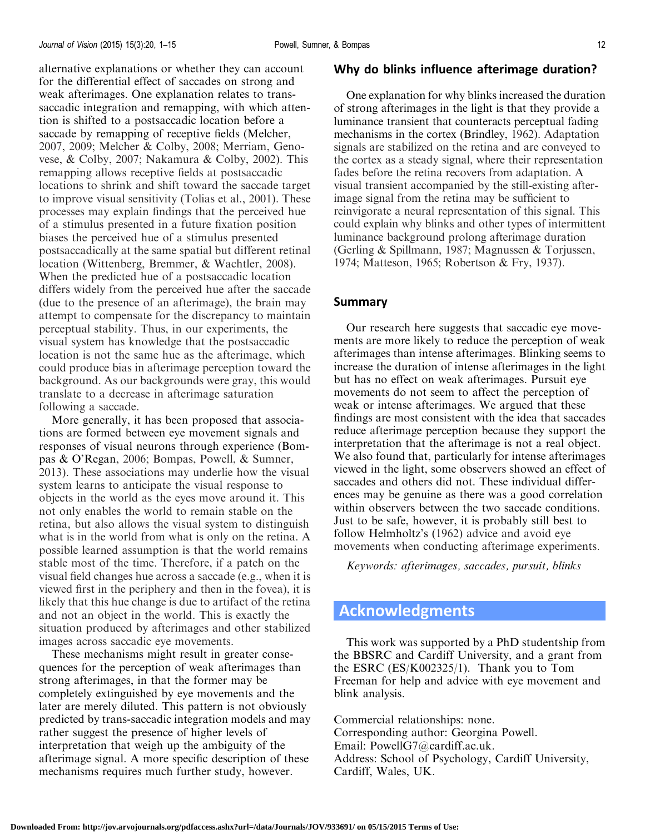alternative explanations or whether they can account for the differential effect of saccades on strong and weak afterimages. One explanation relates to transsaccadic integration and remapping, with which attention is shifted to a postsaccadic location before a saccade by remapping of receptive fields (Melcher, [2007, 2009](#page-13-0); Melcher & Colby, [2008](#page-13-0); Merriam, Genovese, & Colby, [2007;](#page-13-0) Nakamura & Colby, [2002\)](#page-13-0). This remapping allows receptive fields at postsaccadic locations to shrink and shift toward the saccade target to improve visual sensitivity (Tolias et al., [2001](#page-14-0)). These processes may explain findings that the perceived hue of a stimulus presented in a future fixation position biases the perceived hue of a stimulus presented postsaccadically at the same spatial but different retinal location (Wittenberg, Bremmer, & Wachtler, [2008\)](#page-14-0). When the predicted hue of a postsaccadic location differs widely from the perceived hue after the saccade (due to the presence of an afterimage), the brain may attempt to compensate for the discrepancy to maintain perceptual stability. Thus, in our experiments, the visual system has knowledge that the postsaccadic location is not the same hue as the afterimage, which could produce bias in afterimage perception toward the background. As our backgrounds were gray, this would translate to a decrease in afterimage saturation following a saccade.

More generally, it has been proposed that associations are formed between eye movement signals and responses of visual neurons through experience (Bompas & O'Regan, [2006;](#page-12-0) Bompas, Powell, & Sumner, [2013\)](#page-12-0). These associations may underlie how the visual system learns to anticipate the visual response to objects in the world as the eyes move around it. This not only enables the world to remain stable on the retina, but also allows the visual system to distinguish what is in the world from what is only on the retina. A possible learned assumption is that the world remains stable most of the time. Therefore, if a patch on the visual field changes hue across a saccade (e.g., when it is viewed first in the periphery and then in the fovea), it is likely that this hue change is due to artifact of the retina and not an object in the world. This is exactly the situation produced by afterimages and other stabilized images across saccadic eye movements.

These mechanisms might result in greater consequences for the perception of weak afterimages than strong afterimages, in that the former may be completely extinguished by eye movements and the later are merely diluted. This pattern is not obviously predicted by trans-saccadic integration models and may rather suggest the presence of higher levels of interpretation that weigh up the ambiguity of the afterimage signal. A more specific description of these mechanisms requires much further study, however.

#### Why do blinks influence afterimage duration?

One explanation for why blinks increased the duration of strong afterimages in the light is that they provide a luminance transient that counteracts perceptual fading mechanisms in the cortex (Brindley, [1962\)](#page-12-0). Adaptation signals are stabilized on the retina and are conveyed to the cortex as a steady signal, where their representation fades before the retina recovers from adaptation. A visual transient accompanied by the still-existing afterimage signal from the retina may be sufficient to reinvigorate a neural representation of this signal. This could explain why blinks and other types of intermittent luminance background prolong afterimage duration (Gerling & Spillmann, [1987](#page-13-0); Magnussen & Torjussen, [1974](#page-13-0); Matteson, [1965](#page-13-0); Robertson & Fry, [1937\)](#page-13-0).

#### Summary

Our research here suggests that saccadic eye movements are more likely to reduce the perception of weak afterimages than intense afterimages. Blinking seems to increase the duration of intense afterimages in the light but has no effect on weak afterimages. Pursuit eye movements do not seem to affect the perception of weak or intense afterimages. We argued that these findings are most consistent with the idea that saccades reduce afterimage perception because they support the interpretation that the afterimage is not a real object. We also found that, particularly for intense afterimages viewed in the light, some observers showed an effect of saccades and others did not. These individual differences may be genuine as there was a good correlation within observers between the two saccade conditions. Just to be safe, however, it is probably still best to follow Helmholtz's ([1962\)](#page-13-0) advice and avoid eye movements when conducting afterimage experiments.

Keywords: afterimages, saccades, pursuit, blinks

# Acknowledgments

This work was supported by a PhD studentship from the BBSRC and Cardiff University, and a grant from the ESRC (ES/K002325/1). Thank you to Tom Freeman for help and advice with eye movement and blink analysis.

Commercial relationships: none. Corresponding author: Georgina Powell. Email: PowellG7@cardiff.ac.uk. Address: School of Psychology, Cardiff University, Cardiff, Wales, UK.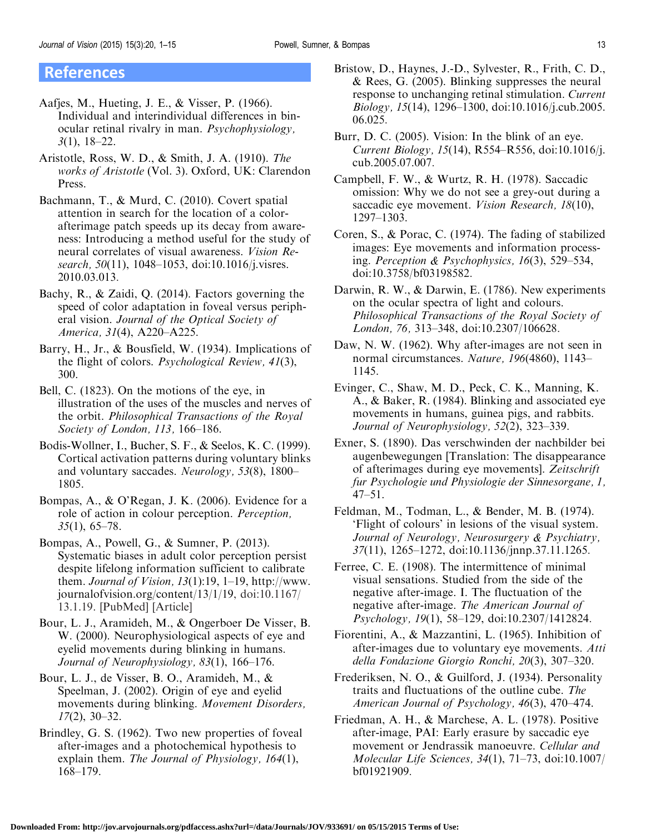# <span id="page-12-0"></span>References

- Aafjes, M., Hueting, J. E., & Visser, P. (1966). Individual and interindividual differences in binocular retinal rivalry in man. Psychophysiology, 3(1), 18–22.
- Aristotle, Ross, W. D., & Smith, J. A. (1910). The works of Aristotle (Vol. 3). Oxford, UK: Clarendon Press.
- Bachmann, T., & Murd, C. (2010). Covert spatial attention in search for the location of a colorafterimage patch speeds up its decay from awareness: Introducing a method useful for the study of neural correlates of visual awareness. Vision Research, 50(11), 1048–1053, doi:10.1016/j.visres. 2010.03.013.
- Bachy, R., & Zaidi, Q. (2014). Factors governing the speed of color adaptation in foveal versus peripheral vision. Journal of the Optical Society of America, 31(4), A220–A225.
- Barry, H., Jr., & Bousfield, W. (1934). Implications of the flight of colors. Psychological Review, 41(3), 300.
- Bell, C. (1823). On the motions of the eye, in illustration of the uses of the muscles and nerves of the orbit. Philosophical Transactions of the Royal Society of London, 113, 166-186.
- Bodis-Wollner, I., Bucher, S. F., & Seelos, K. C. (1999). Cortical activation patterns during voluntary blinks and voluntary saccades. Neurology, 53(8), 1800– 1805.
- Bompas, A., & O'Regan, J. K. (2006). Evidence for a role of action in colour perception. Perception,  $35(1)$ , 65–78.
- Bompas, A., Powell, G., & Sumner, P. (2013). Systematic biases in adult color perception persist despite lifelong information sufficient to calibrate them. Journal of Vision, 13(1):19, 1–19, http://www. journalofvision.org/content/13/1/19, doi:10.1167/ 13.1.19. [[PubMed](http://www.ncbi.nlm.nih.gov/pubmed/23325346)] [[Article\]](http://www.journalofvision.org/content/13/1/19)
- Bour, L. J., Aramideh, M., & Ongerboer De Visser, B. W. (2000). Neurophysiological aspects of eye and eyelid movements during blinking in humans. Journal of Neurophysiology, 83(1), 166–176.
- Bour, L. J., de Visser, B. O., Aramideh, M., & Speelman, J. (2002). Origin of eye and eyelid movements during blinking. Movement Disorders, 17(2), 30–32.
- Brindley, G. S. (1962). Two new properties of foveal after-images and a photochemical hypothesis to explain them. The Journal of Physiology,  $164(1)$ , 168–179.
- Bristow, D., Haynes, J.-D., Sylvester, R., Frith, C. D., & Rees, G. (2005). Blinking suppresses the neural response to unchanging retinal stimulation. Current Biology, 15(14), 1296–1300, doi:10.1016/j.cub.2005. 06.025.
- Burr, D. C. (2005). Vision: In the blink of an eye. Current Biology, 15(14), R554–R556, doi:10.1016/j. cub.2005.07.007.
- Campbell, F. W., & Wurtz, R. H. (1978). Saccadic omission: Why we do not see a grey-out during a saccadic eye movement. *Vision Research*, 18(10), 1297–1303.
- Coren, S., & Porac, C. (1974). The fading of stabilized images: Eye movements and information processing. Perception & Psychophysics, 16(3), 529–534, doi:10.3758/bf03198582.
- Darwin, R. W., & Darwin, E. (1786). New experiments on the ocular spectra of light and colours. Philosophical Transactions of the Royal Society of London, 76, 313–348, doi:10.2307/106628.
- Daw, N. W. (1962). Why after-images are not seen in normal circumstances. Nature, 196(4860), 1143– 1145.
- Evinger, C., Shaw, M. D., Peck, C. K., Manning, K. A., & Baker, R. (1984). Blinking and associated eye movements in humans, guinea pigs, and rabbits. Journal of Neurophysiology, 52(2), 323–339.
- Exner, S. (1890). Das verschwinden der nachbilder bei augenbewegungen [Translation: The disappearance of afterimages during eye movements]. Zeitschrift fur Psychologie und Physiologie der Sinnesorgane, 1, 47–51.
- Feldman, M., Todman, L., & Bender, M. B. (1974). 'Flight of colours' in lesions of the visual system. Journal of Neurology, Neurosurgery & Psychiatry, 37(11), 1265–1272, doi:10.1136/jnnp.37.11.1265.
- Ferree, C. E. (1908). The intermittence of minimal visual sensations. Studied from the side of the negative after-image. I. The fluctuation of the negative after-image. The American Journal of Psychology, 19(1), 58–129, doi:10.2307/1412824.
- Fiorentini, A., & Mazzantini, L. (1965). Inhibition of after-images due to voluntary eye movements. Atti della Fondazione Giorgio Ronchi, 20(3), 307–320.
- Frederiksen, N. O., & Guilford, J. (1934). Personality traits and fluctuations of the outline cube. The American Journal of Psychology, 46(3), 470–474.
- Friedman, A. H., & Marchese, A. L. (1978). Positive after-image, PAI: Early erasure by saccadic eye movement or Jendrassik manoeuvre. Cellular and Molecular Life Sciences, 34(1), 71–73, doi:10.1007/ bf01921909.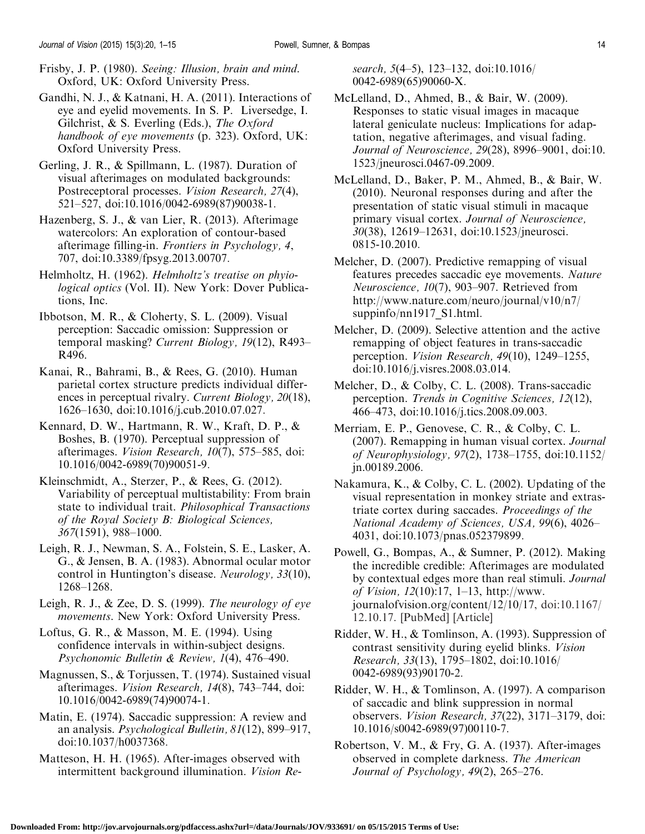- <span id="page-13-0"></span>Frisby, J. P. (1980). Seeing: Illusion, brain and mind. Oxford, UK: Oxford University Press.
- Gandhi, N. J., & Katnani, H. A. (2011). Interactions of eye and eyelid movements. In S. P. Liversedge, I. Gilchrist, & S. Everling (Eds.), The Oxford handbook of eye movements (p. 323). Oxford, UK: Oxford University Press.
- Gerling, J. R., & Spillmann, L. (1987). Duration of visual afterimages on modulated backgrounds: Postreceptoral processes. Vision Research, 27(4), 521–527, doi:10.1016/0042-6989(87)90038-1.
- Hazenberg, S. J., & van Lier, R. (2013). Afterimage watercolors: An exploration of contour-based afterimage filling-in. Frontiers in Psychology, 4, 707, doi:10.3389/fpsyg.2013.00707.
- Helmholtz, H. (1962). Helmholtz's treatise on phyiological optics (Vol. II). New York: Dover Publications, Inc.
- Ibbotson, M. R., & Cloherty, S. L. (2009). Visual perception: Saccadic omission: Suppression or temporal masking? Current Biology, 19(12), R493-R496.
- Kanai, R., Bahrami, B., & Rees, G. (2010). Human parietal cortex structure predicts individual differences in perceptual rivalry. Current Biology, 20(18), 1626–1630, doi:10.1016/j.cub.2010.07.027.
- Kennard, D. W., Hartmann, R. W., Kraft, D. P., & Boshes, B. (1970). Perceptual suppression of afterimages. Vision Research, 10(7), 575–585, doi: 10.1016/0042-6989(70)90051-9.
- Kleinschmidt, A., Sterzer, P., & Rees, G. (2012). Variability of perceptual multistability: From brain state to individual trait. Philosophical Transactions of the Royal Society B: Biological Sciences, 367(1591), 988–1000.
- Leigh, R. J., Newman, S. A., Folstein, S. E., Lasker, A. G., & Jensen, B. A. (1983). Abnormal ocular motor control in Huntington's disease. Neurology, 33(10), 1268–1268.
- Leigh, R. J.,  $&$  Zee, D. S. (1999). The neurology of eye movements. New York: Oxford University Press.
- Loftus, G. R., & Masson, M. E. (1994). Using confidence intervals in within-subject designs. Psychonomic Bulletin & Review, 1(4), 476–490.
- Magnussen, S., & Torjussen, T. (1974). Sustained visual afterimages. Vision Research, 14(8), 743–744, doi: 10.1016/0042-6989(74)90074-1.
- Matin, E. (1974). Saccadic suppression: A review and an analysis. Psychological Bulletin, 81(12), 899–917, doi:10.1037/h0037368.
- Matteson, H. H. (1965). After-images observed with intermittent background illumination. Vision Re-

search, 5(4–5), 123–132, doi:10.1016/ 0042-6989(65)90060-X.

- McLelland, D., Ahmed, B., & Bair, W. (2009). Responses to static visual images in macaque lateral geniculate nucleus: Implications for adaptation, negative afterimages, and visual fading. Journal of Neuroscience, 29(28), 8996–9001, doi:10. 1523/jneurosci.0467-09.2009.
- McLelland, D., Baker, P. M., Ahmed, B., & Bair, W. (2010). Neuronal responses during and after the presentation of static visual stimuli in macaque primary visual cortex. Journal of Neuroscience, 30(38), 12619–12631, doi:10.1523/jneurosci. 0815-10.2010.
- Melcher, D. (2007). Predictive remapping of visual features precedes saccadic eye movements. Nature Neuroscience, 10(7), 903–907. Retrieved from http://www.nature.com/neuro/journal/v10/n7/ suppinfo/nn1917\_S1.html.
- Melcher, D. (2009). Selective attention and the active remapping of object features in trans-saccadic perception. Vision Research, 49(10), 1249–1255, doi:10.1016/j.visres.2008.03.014.
- Melcher, D., & Colby, C. L. (2008). Trans-saccadic perception. Trends in Cognitive Sciences, 12(12), 466–473, doi:10.1016/j.tics.2008.09.003.
- Merriam, E. P., Genovese, C. R., & Colby, C. L. (2007). Remapping in human visual cortex. Journal of Neurophysiology, 97(2), 1738–1755, doi:10.1152/ jn.00189.2006.
- Nakamura, K., & Colby, C. L. (2002). Updating of the visual representation in monkey striate and extrastriate cortex during saccades. Proceedings of the National Academy of Sciences, USA, 99(6), 4026– 4031, doi:10.1073/pnas.052379899.
- Powell, G., Bompas, A., & Sumner, P. (2012). Making the incredible credible: Afterimages are modulated by contextual edges more than real stimuli. Journal of Vision, 12(10):17, 1–13, http://www. journalofvision.org/content/12/10/17, doi:10.1167/ 12.10.17. [\[PubMed\]](http://www.ncbi.nlm.nih.gov/pubmed/23024354) [\[Article\]](http://www.journalofvision.org/content/12/10/17)
- Ridder, W. H., & Tomlinson, A. (1993). Suppression of contrast sensitivity during eyelid blinks. Vision Research, 33(13), 1795–1802, doi:10.1016/ 0042-6989(93)90170-2.
- Ridder, W. H., & Tomlinson, A. (1997). A comparison of saccadic and blink suppression in normal observers. Vision Research, 37(22), 3171–3179, doi: 10.1016/s0042-6989(97)00110-7.
- Robertson, V. M., & Fry, G. A. (1937). After-images observed in complete darkness. The American Journal of Psychology,  $49(2)$ ,  $265-276$ .